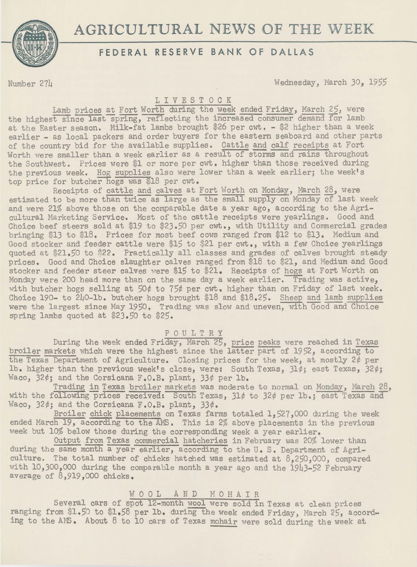# \_ **\_ • \_\_ A\_G\_R\_F** E-1~-E-~-AL\_LT\_Ru\_E\_;\_E ~-v-~\_N\_s A\_~\_w\_K -~-Fo\_oFA-~-~-sE\_W\_E\_E\_K \_\_ \_



Number 271 Wednesday, March 30, 1955

## LIVESTOCK

Lamb prices at Fort Worth during the week ended Friday, March 25, were the highest since last spring, reflecting the increased consumer demand for lamb at the Easter season. Milk-fat lambs brought \$26 per cwt. - \$2 higher than a week earlier - as local packers and order buyers for the eastern seaboard and other parts of the country bid for the available supplies. Cattle and calf receipts at Fort Worth were smaller than a week earlier as a result of storms and rains throughout the Southwest. Prices were \$1 or more per cwt. higher than those received during the previous week. Hog supplies also were lower than a week earlier; the week's top price for butcher hogs was \$18 per cwt.

Receipts of cattle and calves at Fort Worth on Monday, March 28, were estimated to be more than twice as large as the small supply on Monday of last week and were 21% above those on the comparable date a year ago, according to the Agricultural Marketing Service. Most of the cattle receipts were yearlings. Good and Choice beef steers sold at \$19 to \$23.50 per  $\text{cwt.}$ , with Utility and Commercial grades bringing \$13 to \$18. Prices for most beef cows ranged from \$12 to \$13. Medium and Good stocker and feeder cattle were \$15 to \$21 per cwt., with a few Choice yearlings quoted at \$21.50 to \$22. Practically all classes and grades of calves brought steady prices. Good and Choice slaughter calves ranged from \$18 to \$21, and Medium and Good stocker and feeder steer calves were \$15 to \$21. Receipts of hogs at Fort Worth on Monday were 200 head more than on the same day a week earlier. Trading was active, with butcher hogs selling at *50¢* to 75¢ per cwt. higher than on Friday of last week. Choice 190- to 240-lb. butcher hogs brought \$18 and \$18.25. Sheep and lamb supplies were the largest since May 1950. Trading was slow and uneven, with Good and Choice spring lambs quoted at *\$23.50* to \$25.

## POULTRY

During the week ended Friday, March 25, price peaks were reached in Texas broiler markets which were the highest since the latter part of 1952, according to the Texas Department of Agriculture. Closing prices for the week, at mostly 2¢ per lb. higher than the previous week's close, were: South Texas, 31¢; east Texas, 32¢; Waco, 32¢; and the Corsicana F.O.B. plant, 33¢ per lb.

Trading in Texas broiler markets was moderate to normal on Monday, March 28, with the following prices received: South Texas,  $31¢$  to  $32¢$  per lb.; east Texas and Waco, 32¢; and the Corsicana F.O.B. plant, 33¢.

Broiler chick placements on Texas farms totaled 1.527,000 during the week ended March 19, according to the AMS. This is 2% above placements in the previous week but 10% below those during the corresponding week a year earlier.

Output from Texas commercial hatcheries in February was 20% lower than during the same month a year earlier, according to the U.S. Department of Agriculture. The total number of chicks hatched was estimated at 8,250,000, compared with 10,300,000 during the comparable month a year ago and the 1943-52 February average of 8,919,000 chicks.

## WOOL AND MOHAIR

Several cars of spot 12-month wool were sold in Texas at clean prices ranging from \$1.50 to \$1.58 per lb. during the week ended Friday, March 25, according to the AMS. About 8 to 10 cars of Texas mohair were sold during the week at